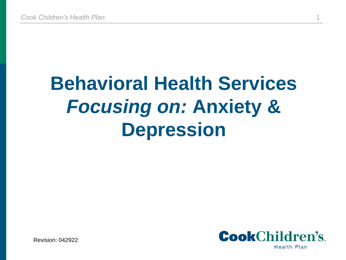# **Behavioral Health Services** *Focusing on:* **Anxiety & Depression**



Revision: 042922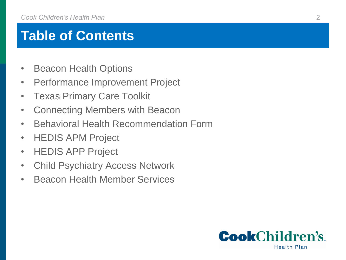# **Table of Contents**

- Beacon Health Options
- Performance Improvement Project
- Texas Primary Care Toolkit
- Connecting Members with Beacon
- Behavioral Health Recommendation Form
- HEDIS APM Project
- HEDIS APP Project
- Child Psychiatry Access Network
- Beacon Health Member Services

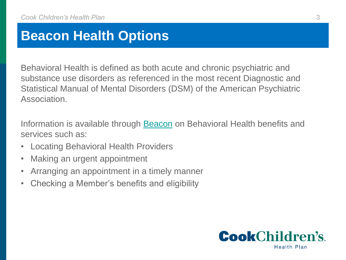### **Beacon Health Options**

Behavioral Health is defined as both acute and chronic psychiatric and substance use disorders as referenced in the most recent Diagnostic and Statistical Manual of Mental Disorders (DSM) of the American Psychiatric Association.

Information is available through **Beacon** on Behavioral Health benefits and services such as:

- Locating Behavioral Health Providers
- Making an urgent appointment
- Arranging an appointment in a timely manner
- Checking a Member's benefits and eligibility

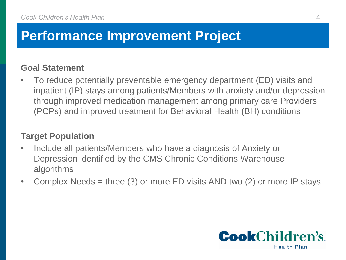### **Performance Improvement Project**

#### **Goal Statement**

• To reduce potentially preventable emergency department (ED) visits and inpatient (IP) stays among patients/Members with anxiety and/or depression through improved medication management among primary care Providers (PCPs) and improved treatment for Behavioral Health (BH) conditions

### **Target Population**

- Include all patients/Members who have a diagnosis of Anxiety or Depression identified by the CMS Chronic Conditions Warehouse algorithms
- Complex Needs = three (3) or more ED visits AND two (2) or more IP stays

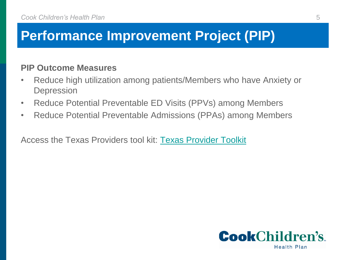### **Performance Improvement Project (PIP)**

#### **PIP Outcome Measures**

- Reduce high utilization among patients/Members who have Anxiety or **Depression**
- Reduce Potential Preventable ED Visits (PPVs) among Members
- Reduce Potential Preventable Admissions (PPAs) among Members

Access the Texas Providers tool kit: [Texas Provider Toolkit](https://providertoolkit.beaconhealthoptions.com/texas-provider-toolkit/)

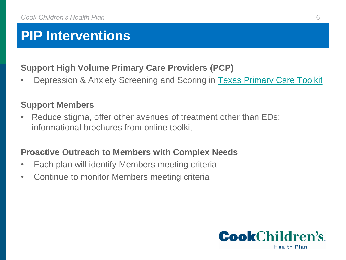# **PIP Interventions**

### **Support High Volume Primary Care Providers (PCP)**

• Depression & Anxiety Screening and Scoring in [Texas Primary Care Toolkit](https://providertoolkit.beaconhealthoptions.com/texas-provider-toolkit/)

### **Support Members**

• Reduce stigma, offer other avenues of treatment other than EDs; informational brochures from online toolkit

### **Proactive Outreach to Members with Complex Needs**

- Each plan will identify Members meeting criteria
- Continue to monitor Members meeting criteria

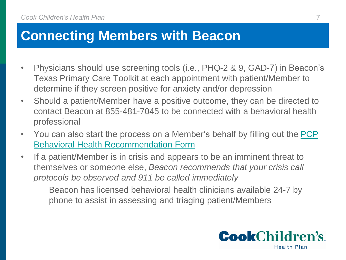### **Connecting Members with Beacon**

- Physicians should use screening tools (i.e., PHQ-2 & 9, GAD-7) in Beacon's Texas Primary Care Toolkit at each appointment with patient/Member to determine if they screen positive for anxiety and/or depression
- Should a patient/Member have a positive outcome, they can be directed to contact Beacon at 855-481-7045 to be connected with a behavioral health professional
- [You can also start the process on a Member's behalf by filling out the PCP](https://s29165.pcdn.co/wp-content/uploads/2020/03/PCP-BH-Recommendation-Formv7Fillable.pdf) Behavioral Health Recommendation Form
- If a patient/Member is in crisis and appears to be an imminent threat to themselves or someone else, *Beacon recommends that your crisis call protocols be observed and 911 be called immediately*
	- Beacon has licensed behavioral health clinicians available 24-7 by phone to assist in assessing and triaging patient/Members

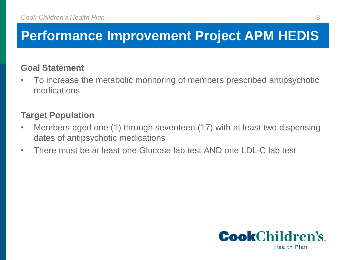# **Performance Improvement Project APM HEDIS**

#### **Goal Statement**

• To increase the metabolic monitoring of members prescribed antipsychotic medications

### **Target Population**

- Members aged one (1) through seventeen (17) with at least two dispensing dates of antipsychotic medications
- There must be at least one Glucose lab test AND one LDL-C lab test

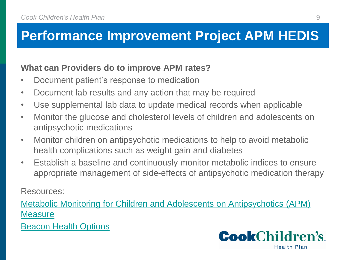### **Performance Improvement Project APM HEDIS**

#### **What can Providers do to improve APM rates?**

- Document patient's response to medication
- Document lab results and any action that may be required
- Use supplemental lab data to update medical records when applicable
- Monitor the glucose and cholesterol levels of children and adolescents on antipsychotic medications
- Monitor children on antipsychotic medications to help to avoid metabolic health complications such as weight gain and diabetes
- Establish a baseline and continuously monitor metabolic indices to ensure appropriate management of side-effects of antipsychotic medication therapy

Resources:

[Metabolic Monitoring for Children and Adolescents on Antipsychotics \(APM\)](https://cookchp.org/SiteCollectionDocuments/pdfs/behavioral-health-services/Metabolic-monitoring-for-children-and-adolescents-on-antipsychotics.pdf) **Measure** 

[Beacon Health Options](https://providertoolkit.beaconhealthoptions.com/texas-provider-toolkit/)

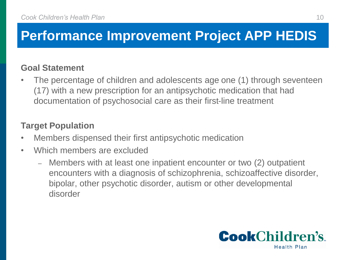# **Performance Improvement Project APP HEDIS**

### **Goal Statement**

• The percentage of children and adolescents age one (1) through seventeen (17) with a new prescription for an antipsychotic medication that had documentation of psychosocial care as their first-line treatment

### **Target Population**

- Members dispensed their first antipsychotic medication
- Which members are excluded
	- Members with at least one inpatient encounter or two (2) outpatient encounters with a diagnosis of schizophrenia, schizoaffective disorder, bipolar, other psychotic disorder, autism or other developmental disorder

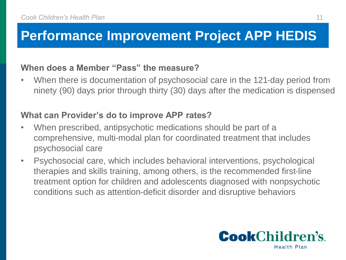### **Performance Improvement Project APP HEDIS**

#### **When does a Member "Pass" the measure?**

• When there is documentation of psychosocial care in the 121-day period from ninety (90) days prior through thirty (30) days after the medication is dispensed

#### **What can Provider's do to improve APP rates?**

- When prescribed, antipsychotic medications should be part of a comprehensive, multi-modal plan for coordinated treatment that includes psychosocial care
- Psychosocial care, which includes behavioral interventions, psychological therapies and skills training, among others, is the recommended first-line treatment option for children and adolescents diagnosed with nonpsychotic conditions such as attention-deficit disorder and disruptive behaviors

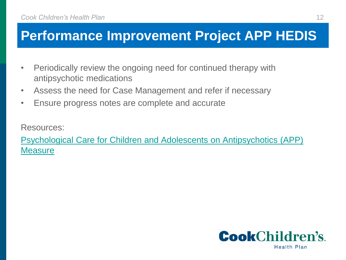### **Performance Improvement Project APP HEDIS**

- Periodically review the ongoing need for continued therapy with antipsychotic medications
- Assess the need for Case Management and refer if necessary
- Ensure progress notes are complete and accurate

Resources:

[Psychological Care for Children and Adolescents on Antipsychotics \(APP\)](https://cookchp.org/SiteCollectionDocuments/pdfs/behavioral-health-services/Psychological-Care-for-Children-and-Adolescents-on-Antipsychotics-Measure.pdf) **Measure** 

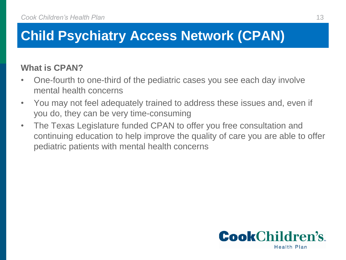# **Child Psychiatry Access Network (CPAN)**

### **What is CPAN?**

- One-fourth to one-third of the pediatric cases you see each day involve mental health concerns
- You may not feel adequately trained to address these issues and, even if you do, they can be very time-consuming
- The Texas Legislature funded CPAN to offer you free consultation and continuing education to help improve the quality of care you are able to offer pediatric patients with mental health concerns

![](_page_12_Picture_6.jpeg)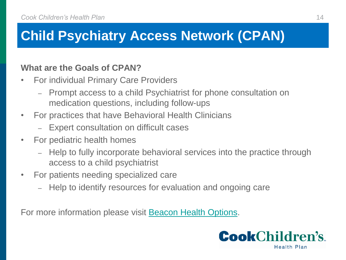# **Child Psychiatry Access Network (CPAN)**

### **What are the Goals of CPAN?**

- For individual Primary Care Providers
	- Prompt access to a child Psychiatrist for phone consultation on medication questions, including follow-ups
- For practices that have Behavioral Health Clinicians
	- Expert consultation on difficult cases
- For pediatric health homes
	- Help to fully incorporate behavioral services into the practice through access to a child psychiatrist
- For patients needing specialized care
	- Help to identify resources for evaluation and ongoing care

For more information please visit [Beacon Health Options](https://providertoolkit.beaconhealthoptions.com/texas-provider-toolkit/).

![](_page_13_Picture_12.jpeg)